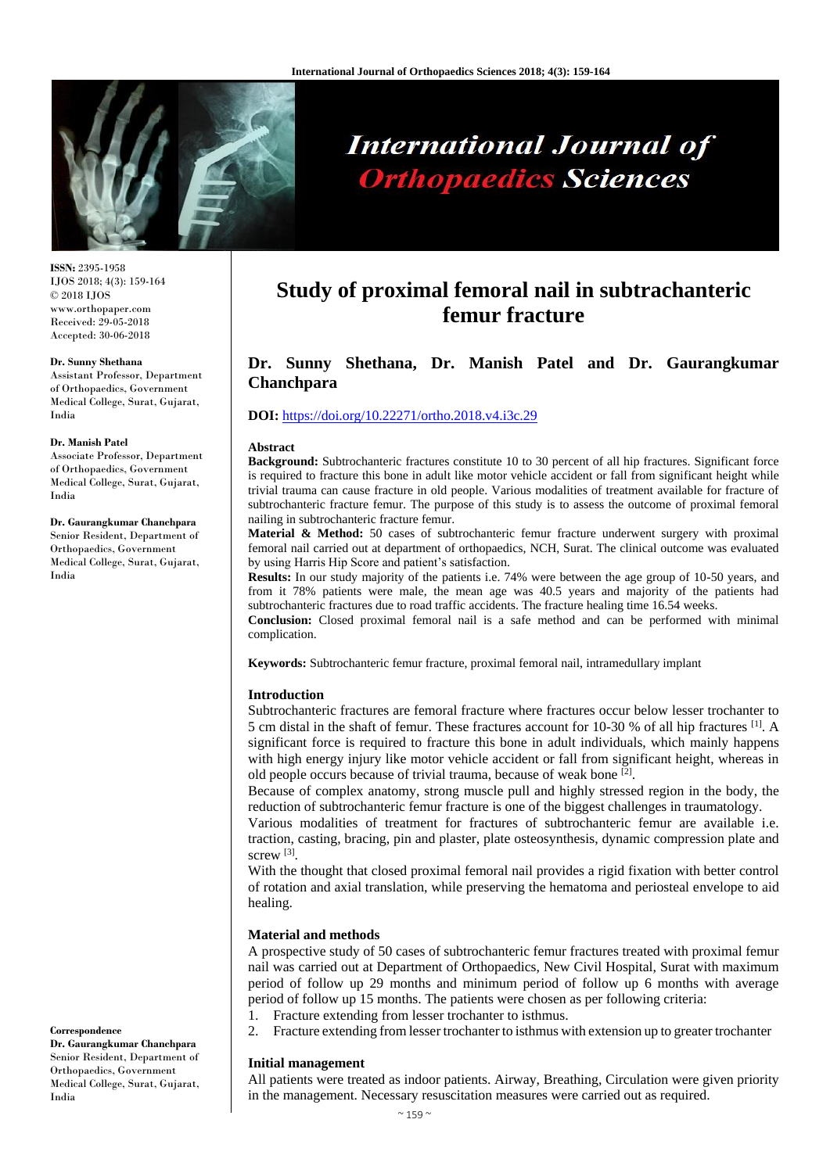

# **International Journal of Orthopaedics Sciences**

**ISSN:** 2395-1958 IJOS 2018; 4(3): 159-164 © 2018 IJOS www.orthopaper.com Received: 29-05-2018 Accepted: 30-06-2018

#### **Dr. Sunny Shethana**

Assistant Professor, Department of Orthopaedics, Government Medical College, Surat, Gujarat, India

#### **Dr. Manish Patel**

India

Associate Professor, Department of Orthopaedics, Government Medical College, Surat, Gujarat, India

#### **Dr. Gaurangkumar Chanchpara** Senior Resident, Department of Orthopaedics, Government Medical College, Surat, Gujarat,

**Study of proximal femoral nail in subtrachanteric** 

**femur fracture**

## **Dr. Sunny Shethana, Dr. Manish Patel and Dr. Gaurangkumar Chanchpara**

#### **DOI:** <https://doi.org/10.22271/ortho.2018.v4.i3c.29>

#### **Abstract**

**Background:** Subtrochanteric fractures constitute 10 to 30 percent of all hip fractures. Significant force is required to fracture this bone in adult like motor vehicle accident or fall from significant height while trivial trauma can cause fracture in old people. Various modalities of treatment available for fracture of subtrochanteric fracture femur. The purpose of this study is to assess the outcome of proximal femoral nailing in subtrochanteric fracture femur.

**Material & Method:** 50 cases of subtrochanteric femur fracture underwent surgery with proximal femoral nail carried out at department of orthopaedics, NCH, Surat. The clinical outcome was evaluated by using Harris Hip Score and patient's satisfaction.

**Results:** In our study majority of the patients i.e. 74% were between the age group of 10-50 years, and from it 78% patients were male, the mean age was 40.5 years and majority of the patients had subtrochanteric fractures due to road traffic accidents. The fracture healing time 16.54 weeks.

**Conclusion:** Closed proximal femoral nail is a safe method and can be performed with minimal complication.

**Keywords:** Subtrochanteric femur fracture, proximal femoral nail, intramedullary implant

#### **Introduction**

Subtrochanteric fractures are femoral fracture where fractures occur below lesser trochanter to 5 cm distal in the shaft of femur. These fractures account for 10-30 % of all hip fractures <sup>[1]</sup>. A significant force is required to fracture this bone in adult individuals, which mainly happens with high energy injury like motor vehicle accident or fall from significant height, whereas in old people occurs because of trivial trauma, because of weak bone <sup>[2]</sup>.

Because of complex anatomy, strong muscle pull and highly stressed region in the body, the reduction of subtrochanteric femur fracture is one of the biggest challenges in traumatology.

Various modalities of treatment for fractures of subtrochanteric femur are available i.e. traction, casting, bracing, pin and plaster, plate osteosynthesis, dynamic compression plate and screw<sup>[3]</sup>.

With the thought that closed proximal femoral nail provides a rigid fixation with better control of rotation and axial translation, while preserving the hematoma and periosteal envelope to aid healing.

#### **Material and methods**

A prospective study of 50 cases of subtrochanteric femur fractures treated with proximal femur nail was carried out at Department of Orthopaedics, New Civil Hospital, Surat with maximum period of follow up 29 months and minimum period of follow up 6 months with average period of follow up 15 months. The patients were chosen as per following criteria:

- 1. Fracture extending from lesser trochanter to isthmus.
- 2. Fracture extending from lesser trochanter to isthmus with extension up to greater trochanter

#### **Initial management**

All patients were treated as indoor patients. Airway, Breathing, Circulation were given priority in the management. Necessary resuscitation measures were carried out as required.

**Dr. Gaurangkumar Chanchpara** Senior Resident, Department of Orthopaedics, Government Medical College, Surat, Gujarat, India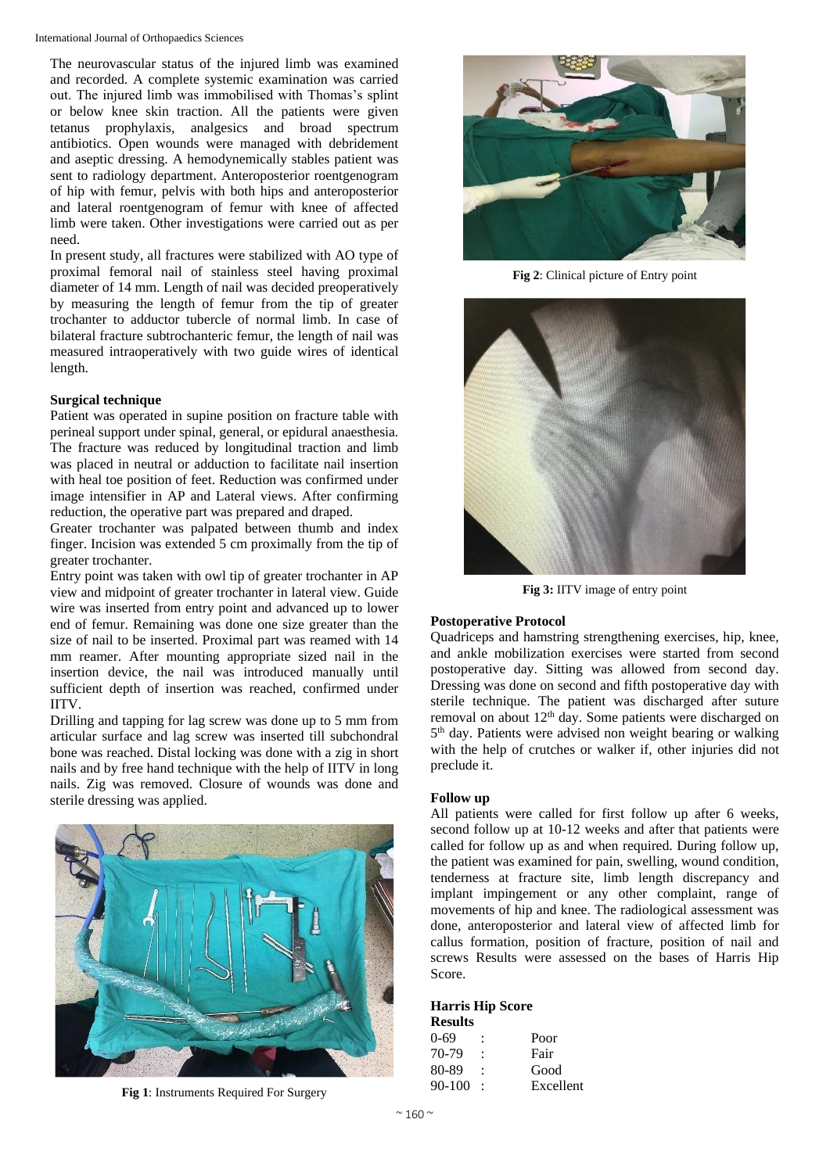The neurovascular status of the injured limb was examined and recorded. A complete systemic examination was carried out. The injured limb was immobilised with Thomas's splint or below knee skin traction. All the patients were given tetanus prophylaxis, analgesics and broad spectrum antibiotics. Open wounds were managed with debridement and aseptic dressing. A hemodynemically stables patient was sent to radiology department. Anteroposterior roentgenogram of hip with femur, pelvis with both hips and anteroposterior and lateral roentgenogram of femur with knee of affected limb were taken. Other investigations were carried out as per need.

In present study, all fractures were stabilized with AO type of proximal femoral nail of stainless steel having proximal diameter of 14 mm. Length of nail was decided preoperatively by measuring the length of femur from the tip of greater trochanter to adductor tubercle of normal limb. In case of bilateral fracture subtrochanteric femur, the length of nail was measured intraoperatively with two guide wires of identical length.

## **Surgical technique**

Patient was operated in supine position on fracture table with perineal support under spinal, general, or epidural anaesthesia. The fracture was reduced by longitudinal traction and limb was placed in neutral or adduction to facilitate nail insertion with heal toe position of feet. Reduction was confirmed under image intensifier in AP and Lateral views. After confirming reduction, the operative part was prepared and draped.

Greater trochanter was palpated between thumb and index finger. Incision was extended 5 cm proximally from the tip of greater trochanter.

Entry point was taken with owl tip of greater trochanter in AP view and midpoint of greater trochanter in lateral view. Guide wire was inserted from entry point and advanced up to lower end of femur. Remaining was done one size greater than the size of nail to be inserted. Proximal part was reamed with 14 mm reamer. After mounting appropriate sized nail in the insertion device, the nail was introduced manually until sufficient depth of insertion was reached, confirmed under IITV.

Drilling and tapping for lag screw was done up to 5 mm from articular surface and lag screw was inserted till subchondral bone was reached. Distal locking was done with a zig in short nails and by free hand technique with the help of IITV in long nails. Zig was removed. Closure of wounds was done and sterile dressing was applied.



**Fig 1**: Instruments Required For Surgery



**Fig 2**: Clinical picture of Entry point



**Fig 3:** IITV image of entry point

## **Postoperative Protocol**

Quadriceps and hamstring strengthening exercises, hip, knee, and ankle mobilization exercises were started from second postoperative day. Sitting was allowed from second day. Dressing was done on second and fifth postoperative day with sterile technique. The patient was discharged after suture removal on about 12<sup>th</sup> day. Some patients were discharged on 5 th day. Patients were advised non weight bearing or walking with the help of crutches or walker if, other injuries did not preclude it.

## **Follow up**

All patients were called for first follow up after 6 weeks, second follow up at 10-12 weeks and after that patients were called for follow up as and when required. During follow up, the patient was examined for pain, swelling, wound condition, tenderness at fracture site, limb length discrepancy and implant impingement or any other complaint, range of movements of hip and knee. The radiological assessment was done, anteroposterior and lateral view of affected limb for callus formation, position of fracture, position of nail and screws Results were assessed on the bases of Harris Hip Score.

#### **Harris Hip Score**

| <b>Results</b> |           |
|----------------|-----------|
| 0-69           | Poor      |
| 70-79          | Fair      |
| 80-89          | Good      |
| $90 - 100$     | Excellent |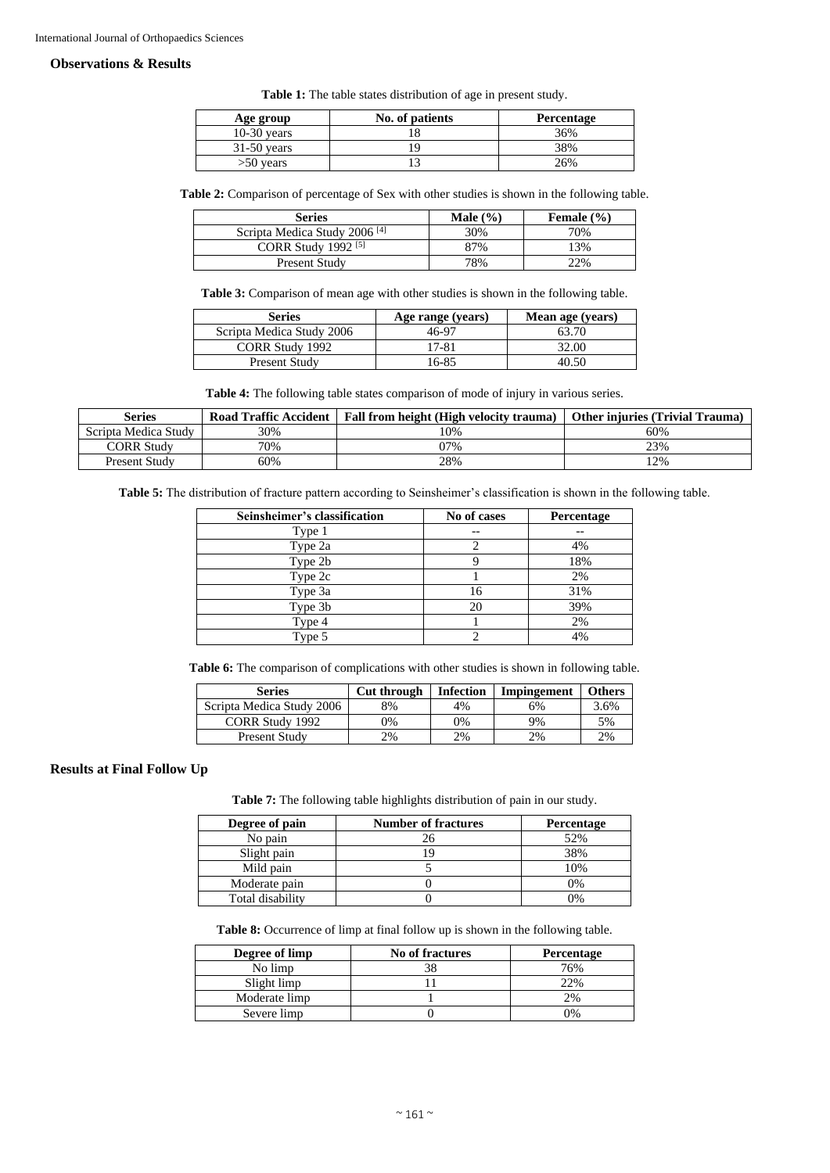#### **Observations & Results**

**Table 1:** The table states distribution of age in present study.

| Age group     | No. of patients | Percentage |
|---------------|-----------------|------------|
| $10-30$ years |                 | 36%        |
| $31-50$ years |                 | 38%        |
| $>50$ years   |                 | 26%        |

**Table 2:** Comparison of percentage of Sex with other studies is shown in the following table.

| <b>Series</b>                            | Male $(\% )$ | Female $(\% )$ |
|------------------------------------------|--------------|----------------|
| Scripta Medica Study 2006 <sup>[4]</sup> | 30%          | 70%            |
| CORR Study 1992 $[5]$                    | 87%          | 13%            |
| Present Study                            | 78%          | 22%            |

**Table 3:** Comparison of mean age with other studies is shown in the following table.

| Series                    | Age range (years) | Mean age (years) |
|---------------------------|-------------------|------------------|
| Scripta Medica Study 2006 | 46-97             | 63.70            |
| CORR Study 1992           | 17-81             | 32.00            |
| Present Study             | 16-85             | 40.50            |

**Table 4:** The following table states comparison of mode of injury in various series.

| Series               | <b>Road Traffic Accident</b> | Fall from height (High velocity trauma) | <b>Other injuries (Trivial Trauma)</b> |
|----------------------|------------------------------|-----------------------------------------|----------------------------------------|
| Scripta Medica Study | 30%                          | 10%                                     | 60%                                    |
| <b>CORR Study</b>    | 70%                          | 07%                                     | 23%                                    |
| Present Study        | 60%                          | 28%                                     | 2%                                     |

**Table 5:** The distribution of fracture pattern according to Seinsheimer's classification is shown in the following table.

| Seinsheimer's classification | No of cases | Percentage |
|------------------------------|-------------|------------|
| Type 1                       |             |            |
| Type 2a                      |             | 4%         |
| Type 2b                      |             | 18%        |
| Type 2c                      |             | 2%         |
| Type 3a                      | 16          | 31%        |
| Type 3b                      | 20          | 39%        |
| Type 4                       |             | 2%         |
| Type 5                       |             | 4%         |

Table 6: The comparison of complications with other studies is shown in following table.

| <b>Series</b>             | Cut through | <b>Infection</b> | Impingement | <b>Others</b> |
|---------------------------|-------------|------------------|-------------|---------------|
| Scripta Medica Study 2006 | 8%          | 4%               | 6%          | 3.6%          |
| <b>CORR Study 1992</b>    | 9%          | 0%               | 9%          | 5%            |
| <b>Present Study</b>      | 2%          | 2%               | 2%          | 2%            |

#### **Results at Final Follow Up**

**Table 7:** The following table highlights distribution of pain in our study.

| Degree of pain   | <b>Number of fractures</b> | Percentage |
|------------------|----------------------------|------------|
| No pain          |                            | 52%        |
| Slight pain      |                            | 38%        |
| Mild pain        |                            | 10%        |
| Moderate pain    |                            | 0%         |
| Total disability |                            | 7%         |

**Table 8:** Occurrence of limp at final follow up is shown in the following table.

| Degree of limp | No of fractures | Percentage |
|----------------|-----------------|------------|
| No limp        |                 | 76%        |
| Slight limp    |                 | 22%        |
| Moderate limp  |                 | 2%         |
| Severe limp    |                 | 7%         |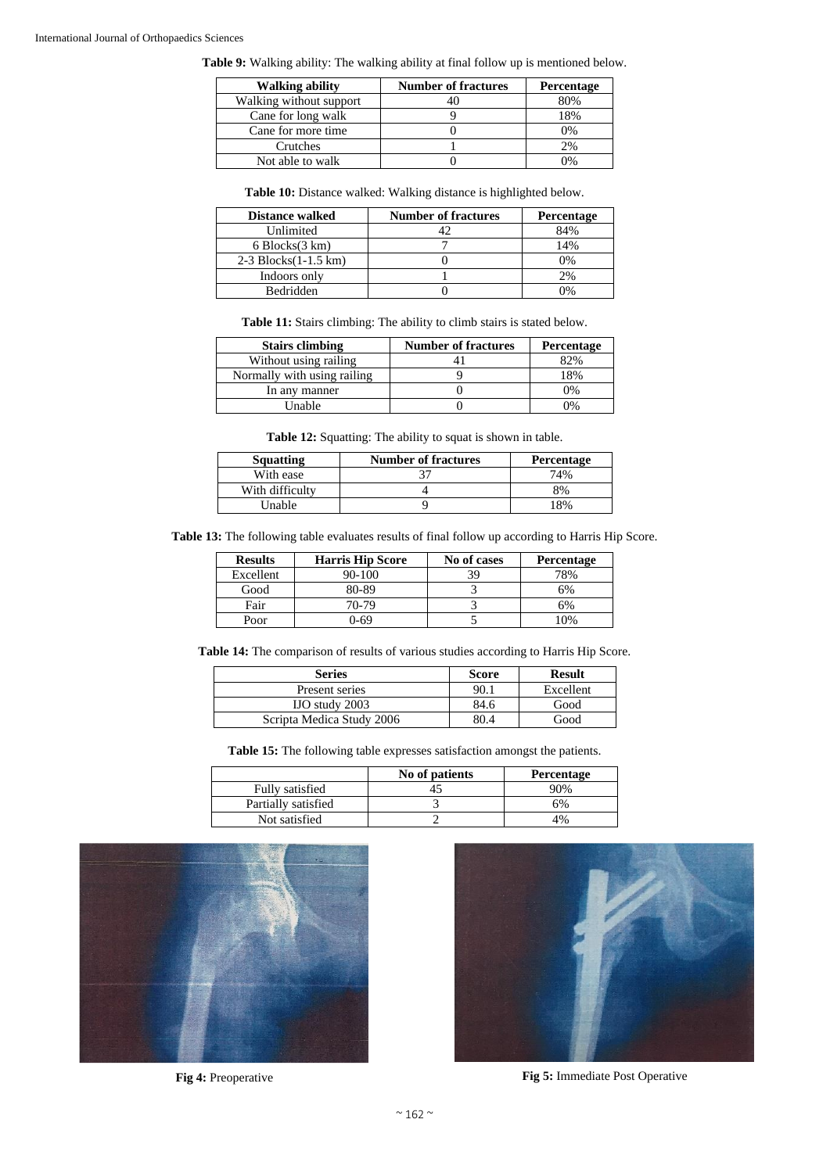#### International Journal of Orthopaedics Sciences

**Table 9:** Walking ability: The walking ability at final follow up is mentioned below.

| <b>Walking ability</b>  | <b>Number of fractures</b> | Percentage |
|-------------------------|----------------------------|------------|
| Walking without support |                            | 80%        |
| Cane for long walk      |                            | 18%        |
| Cane for more time      |                            | 0%         |
| Crutches                |                            | 2%         |
| Not able to walk        |                            | በ%         |

**Table 10:** Distance walked: Walking distance is highlighted below.

| <b>Distance walked</b>               | <b>Number of fractures</b> | Percentage |
|--------------------------------------|----------------------------|------------|
| Unlimited                            |                            | 84%        |
| $6 \, \text{Blocks}(3 \, \text{km})$ |                            | 14%        |
| $2-3$ Blocks $(1-1.5$ km $)$         |                            | 0%         |
| Indoors only                         |                            | 2%         |
| <b>Bedridden</b>                     |                            | $\gamma$ % |

**Table 11:** Stairs climbing: The ability to climb stairs is stated below.

| <b>Stairs climbing</b>      | <b>Number of fractures</b> | <b>Percentage</b> |
|-----------------------------|----------------------------|-------------------|
| Without using railing       |                            | 82%               |
| Normally with using railing |                            | 18%               |
| In any manner               |                            | 0%                |
| Unable                      |                            | 20 <sub>0</sub>   |

**Table 12:** Squatting: The ability to squat is shown in table.

| <b>Squatting</b> | <b>Number of fractures</b> | <b>Percentage</b> |
|------------------|----------------------------|-------------------|
| With ease        |                            | 74%               |
| With difficulty  |                            | 8%                |
| Unable           |                            | 18%               |

**Table 13:** The following table evaluates results of final follow up according to Harris Hip Score.

| <b>Results</b> | <b>Harris Hip Score</b> | No of cases | <b>Percentage</b> |
|----------------|-------------------------|-------------|-------------------|
| Excellent      | $90 - 100$              | 39          | 78%               |
| Good           | 80-89                   |             | 5%                |
| Fair           | 70-79                   |             | 6%                |
| Poor           | 0-69                    |             | 10%               |

Table 14: The comparison of results of various studies according to Harris Hip Score.

| <b>Series</b>             | <b>Score</b> | <b>Result</b> |
|---------------------------|--------------|---------------|
| Present series            | 90.1         | Excellent     |
| $IO$ study $2003$         | 84.6         | Good          |
| Scripta Medica Study 2006 | 80.4         | Good          |

**Table 15:** The following table expresses satisfaction amongst the patients.

|                     | No of patients | <b>Percentage</b> |
|---------------------|----------------|-------------------|
| Fully satisfied     |                | 90%               |
| Partially satisfied |                | 6%                |
| Not satisfied       |                | 4%                |





**Fig 4:** Preoperative **Fig 5:** Immediate Post Operative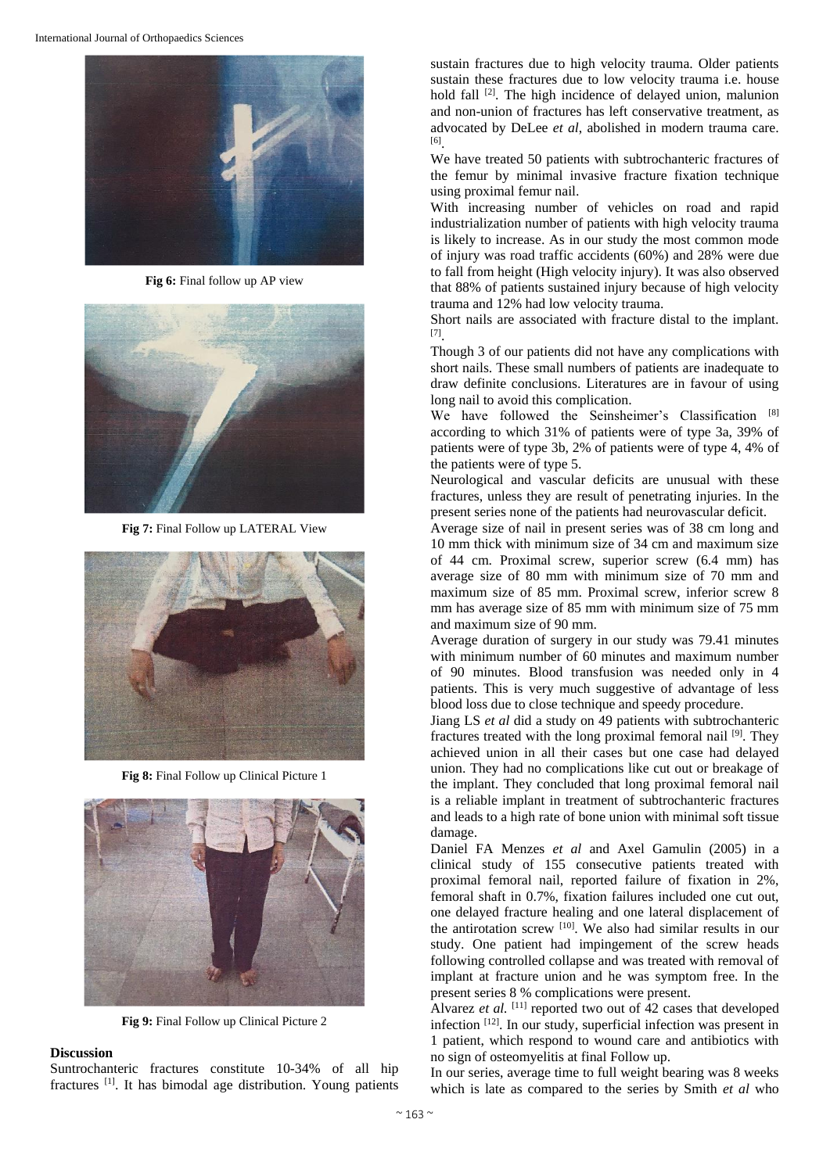

**Fig 6:** Final follow up AP view



**Fig 7:** Final Follow up LATERAL View



**Fig 8:** Final Follow up Clinical Picture 1



**Fig 9:** Final Follow up Clinical Picture 2

#### **Discussion**

Suntrochanteric fractures constitute 10-34% of all hip fractures<sup>[1]</sup>. It has bimodal age distribution. Young patients sustain fractures due to high velocity trauma. Older patients sustain these fractures due to low velocity trauma i.e. house hold fall <sup>[2]</sup>. The high incidence of delayed union, malunion and non-union of fractures has left conservative treatment, as advocated by DeLee *et al*, abolished in modern trauma care. [6] .

We have treated 50 patients with subtrochanteric fractures of the femur by minimal invasive fracture fixation technique using proximal femur nail.

With increasing number of vehicles on road and rapid industrialization number of patients with high velocity trauma is likely to increase. As in our study the most common mode of injury was road traffic accidents (60%) and 28% were due to fall from height (High velocity injury). It was also observed that 88% of patients sustained injury because of high velocity trauma and 12% had low velocity trauma.

Short nails are associated with fracture distal to the implant. [7] .

Though 3 of our patients did not have any complications with short nails. These small numbers of patients are inadequate to draw definite conclusions. Literatures are in favour of using long nail to avoid this complication.

We have followed the Seinsheimer's Classification [8] according to which 31% of patients were of type 3a, 39% of patients were of type 3b, 2% of patients were of type 4, 4% of the patients were of type 5.

Neurological and vascular deficits are unusual with these fractures, unless they are result of penetrating injuries. In the present series none of the patients had neurovascular deficit.

Average size of nail in present series was of 38 cm long and 10 mm thick with minimum size of 34 cm and maximum size of 44 cm. Proximal screw, superior screw (6.4 mm) has average size of 80 mm with minimum size of 70 mm and maximum size of 85 mm. Proximal screw, inferior screw 8 mm has average size of 85 mm with minimum size of 75 mm and maximum size of 90 mm.

Average duration of surgery in our study was 79.41 minutes with minimum number of 60 minutes and maximum number of 90 minutes. Blood transfusion was needed only in 4 patients. This is very much suggestive of advantage of less blood loss due to close technique and speedy procedure.

Jiang LS *et al* did a study on 49 patients with subtrochanteric fractures treated with the long proximal femoral nail <sup>[9]</sup>. They achieved union in all their cases but one case had delayed union. They had no complications like cut out or breakage of the implant. They concluded that long proximal femoral nail is a reliable implant in treatment of subtrochanteric fractures and leads to a high rate of bone union with minimal soft tissue damage.

Daniel FA Menzes *et al* and Axel Gamulin (2005) in a clinical study of 155 consecutive patients treated with proximal femoral nail, reported failure of fixation in 2%, femoral shaft in 0.7%, fixation failures included one cut out, one delayed fracture healing and one lateral displacement of the antirotation screw [10] . We also had similar results in our study. One patient had impingement of the screw heads following controlled collapse and was treated with removal of implant at fracture union and he was symptom free. In the present series 8 % complications were present.

Alvarez et al. <sup>[11]</sup> reported two out of 42 cases that developed infection [12]. In our study, superficial infection was present in 1 patient, which respond to wound care and antibiotics with no sign of osteomyelitis at final Follow up.

In our series, average time to full weight bearing was 8 weeks which is late as compared to the series by Smith *et al* who